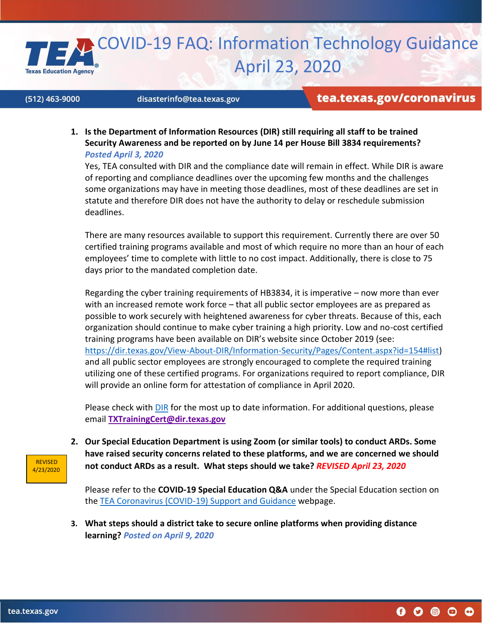

## (512) 463-9000

## disasterinfo@tea.texas.gov

## tea.texas.gov/coronavirus

**1. Is the Department of Information Resources (DIR) still requiring all staff to be trained Security Awareness and be reported on by June 14 per House Bill 3834 requirements?**  *Posted April 3, 2020*

Yes, TEA consulted with DIR and the compliance date will remain in effect. While DIR is aware of reporting and compliance deadlines over the upcoming few months and the challenges some organizations may have in meeting those deadlines, most of these deadlines are set in statute and therefore DIR does not have the authority to delay or reschedule submission deadlines.

There are many resources available to support this requirement. Currently there are over 50 certified training programs available and most of which require no more than an hour of each employees' time to complete with little to no cost impact. Additionally, there is close to 75 days prior to the mandated completion date.

Regarding the cyber training requirements of HB3834, it is imperative – now more than ever with an increased remote work force – that all public sector employees are as prepared as possible to work securely with heightened awareness for cyber threats. Because of this, each organization should continue to make cyber training a high priority. Low and no-cost certified training programs have been available on DIR's website since October 2019 (see: [https://dir.texas.gov/View-About-DIR/Information-Security/Pages/Content.aspx?id=154#list\)](https://nam10.safelinks.protection.outlook.com/?url=https%3A%2F%2Fdir.texas.gov%2FView-About-DIR%2FInformation-Security%2FPages%2FContent.aspx%3Fid%3D154%23list&data=02%7C01%7CJulia.Schacherl%40tea.texas.gov%7Cb57da0dfe821433a1e1808d7d582b32f%7C65d6b3c3723648189613248dbd713a6f%7C0%7C0%7C637212629629859089&sdata=sOQCQA1Rw4io3ZMbZt58jU79QOcKzdH%2BqzjiaqT8PZs%3D&reserved=0) and all public sector employees are strongly encouraged to complete the required training utilizing one of these certified programs. For organizations required to report compliance, DIR will provide an online form for attestation of compliance in April 2020.

Please check with **DIR** for the most up to date information. For additional questions, please email **[TXTrainingCert@dir.texas.gov](mailto:txtrainingcert@dir.texas.gov)**

**2. Our Special Education Department is using Zoom (or similar tools) to conduct ARDs. Some have raised security concerns related to these platforms, and we are concerned we should not conduct ARDs as a result. What steps should we take?** *REVISED April 23, 2020*

Please refer to the **COVID-19 Special Education Q&A** under the Special Education section on the [TEA Coronavirus \(COVID-19\)](https://tea.texas.gov/texas-schools/health-safety-discipline/covid/coronavirus-covid-19-support-and-guidance) Support and Guidance webpage.

**3. What steps should a district take to secure online platforms when providing distance learning?** *Posted on April 9, 2020*